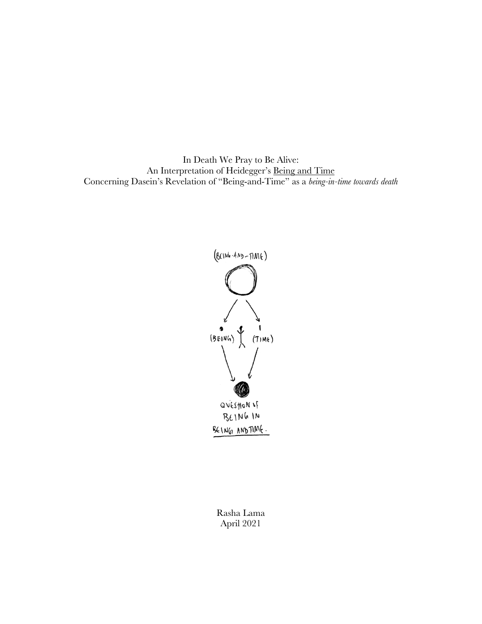In Death We Pray to Be Alive: An Interpretation of Heidegger's Being and Time Concerning Dasein's Revelation of "Being-and-Time" as a *being-in-time towards death*



Rasha Lama April 2021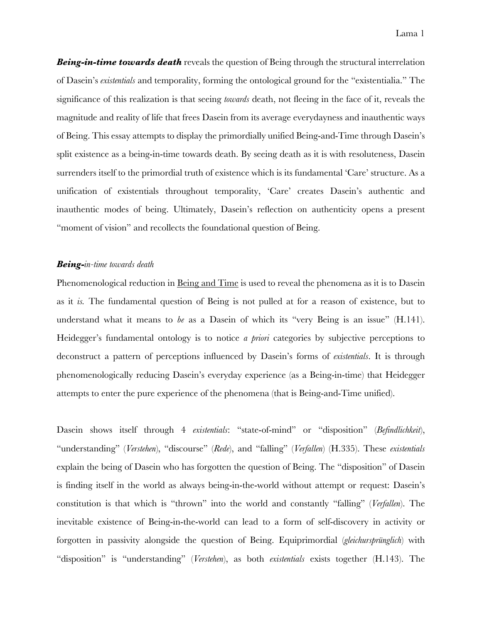*Being-in-time towards death* reveals the question of Being through the structural interrelation of Dasein's *existentials* and temporality, forming the ontological ground for the "existentialia." The significance of this realization is that seeing *towards* death, not fleeing in the face of it, reveals the magnitude and reality of life that frees Dasein from its average everydayness and inauthentic ways of Being. This essay attempts to display the primordially unified Being-and-Time through Dasein's split existence as a being-in-time towards death. By seeing death as it is with resoluteness, Dasein surrenders itself to the primordial truth of existence which is its fundamental 'Care' structure. As a unification of existentials throughout temporality, 'Care' creates Dasein's authentic and inauthentic modes of being. Ultimately, Dasein's reflection on authenticity opens a present "moment of vision" and recollects the foundational question of Being.

## *Being-in-time towards death*

Phenomenological reduction in Being and Time is used to reveal the phenomena as it is to Dasein as it *is.* The fundamental question of Being is not pulled at for a reason of existence, but to understand what it means to *be* as a Dasein of which its "very Being is an issue" (H.141). Heidegger's fundamental ontology is to notice *a priori* categories by subjective perceptions to deconstruct a pattern of perceptions influenced by Dasein's forms of *existentials*. It is through phenomenologically reducing Dasein's everyday experience (as a Being-in-time) that Heidegger attempts to enter the pure experience of the phenomena (that is Being-and-Time unified).

Dasein shows itself through 4 *existentials*: "state-of-mind" or "disposition" (*Befindlichkeit*), "understanding" (*Verstehen*), "discourse" (*Rede*), and "falling" (*Verfallen*) (H.335). These *existentials* explain the being of Dasein who has forgotten the question of Being. The "disposition" of Dasein is finding itself in the world as always being-in-the-world without attempt or request: Dasein's constitution is that which is "thrown" into the world and constantly "falling" (*Verfallen*). The inevitable existence of Being-in-the-world can lead to a form of self-discovery in activity or forgotten in passivity alongside the question of Being. Equiprimordial (*gleichursprünglich*) with "disposition" is "understanding" (*Verstehen*), as both *existentials* exists together (H.143). The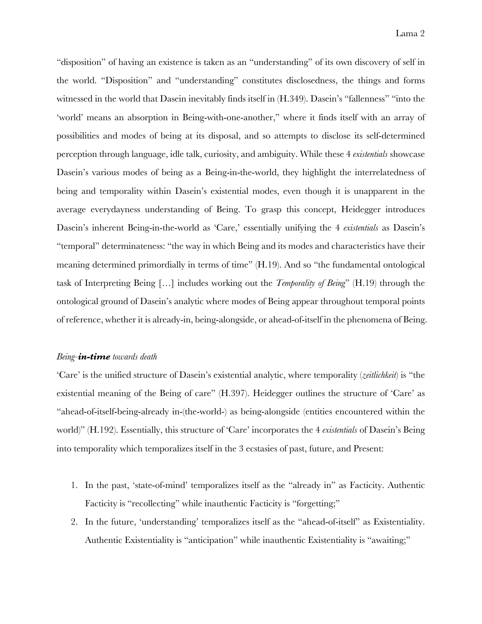"disposition" of having an existence is taken as an "understanding" of its own discovery of self in the world. "Disposition" and "understanding" constitutes disclosedness, the things and forms witnessed in the world that Dasein inevitably finds itself in (H.349). Dasein's "fallenness" "into the 'world' means an absorption in Being-with-one-another," where it finds itself with an array of possibilities and modes of being at its disposal, and so attempts to disclose its self-determined perception through language, idle talk, curiosity, and ambiguity. While these 4 *existentials* showcase Dasein's various modes of being as a Being-in-the-world, they highlight the interrelatedness of being and temporality within Dasein's existential modes, even though it is unapparent in the average everydayness understanding of Being. To grasp this concept, Heidegger introduces Dasein's inherent Being-in-the-world as 'Care,' essentially unifying the 4 *existentials* as Dasein's "temporal" determinateness: "the way in which Being and its modes and characteristics have their meaning determined primordially in terms of time" (H.19). And so "the fundamental ontological task of Interpreting Being […] includes working out the *Temporality of Being*" (H.19) through the ontological ground of Dasein's analytic where modes of Being appear throughout temporal points of reference, whether it is already-in, being-alongside, or ahead-of-itself in the phenomena of Being.

## *Being-in-time towards death*

'Care' is the unified structure of Dasein's existential analytic, where temporality (*zeitlichkeit*) is "the existential meaning of the Being of care" (H.397). Heidegger outlines the structure of 'Care' as "ahead-of-itself-being-already in-(the-world-) as being-alongside (entities encountered within the world)" (H.192). Essentially, this structure of 'Care' incorporates the 4 *existentials* of Dasein's Being into temporality which temporalizes itself in the 3 ecstasies of past, future, and Present:

- 1. In the past, 'state-of-mind' temporalizes itself as the "already in" as Facticity. Authentic Facticity is "recollecting" while inauthentic Facticity is "forgetting;"
- 2. In the future, 'understanding' temporalizes itself as the "ahead-of-itself" as Existentiality. Authentic Existentiality is "anticipation" while inauthentic Existentiality is "awaiting;"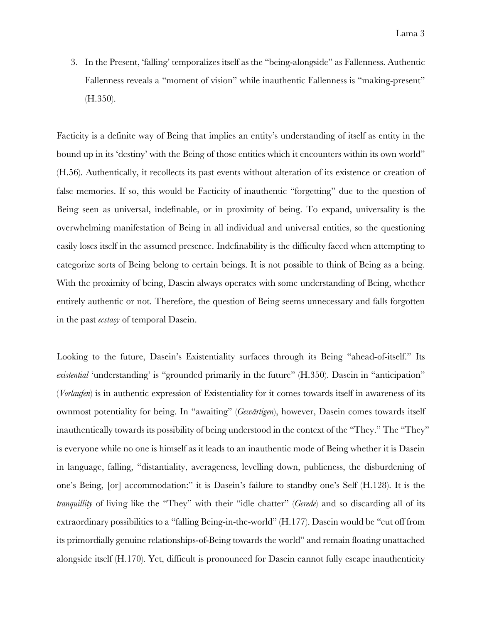3. In the Present, 'falling' temporalizes itself as the "being-alongside" as Fallenness. Authentic Fallenness reveals a "moment of vision" while inauthentic Fallenness is "making-present" (H.350).

Facticity is a definite way of Being that implies an entity's understanding of itself as entity in the bound up in its 'destiny' with the Being of those entities which it encounters within its own world" (H.56). Authentically, it recollects its past events without alteration of its existence or creation of false memories. If so, this would be Facticity of inauthentic "forgetting" due to the question of Being seen as universal, indefinable, or in proximity of being. To expand, universality is the overwhelming manifestation of Being in all individual and universal entities, so the questioning easily loses itself in the assumed presence. Indefinability is the difficulty faced when attempting to categorize sorts of Being belong to certain beings. It is not possible to think of Being as a being. With the proximity of being, Dasein always operates with some understanding of Being, whether entirely authentic or not. Therefore, the question of Being seems unnecessary and falls forgotten in the past *ecstasy* of temporal Dasein.

Looking to the future, Dasein's Existentiality surfaces through its Being "ahead-of-itself." Its *existential* 'understanding' is "grounded primarily in the future" (H.350). Dasein in "anticipation" (*Vorlaufen*) is in authentic expression of Existentiality for it comes towards itself in awareness of its ownmost potentiality for being. In "awaiting" (*Gewärtigen*), however, Dasein comes towards itself inauthentically towards its possibility of being understood in the context of the "They." The "They" is everyone while no one is himself as it leads to an inauthentic mode of Being whether it is Dasein in language, falling, "distantiality, averageness, levelling down, publicness, the disburdening of one's Being, [or] accommodation:" it is Dasein's failure to standby one's Self (H.128). It is the *tranquillity* of living like the "They" with their "idle chatter" (*Gerede*) and so discarding all of its extraordinary possibilities to a "falling Being-in-the-world" (H.177). Dasein would be "cut off from its primordially genuine relationships-of-Being towards the world" and remain floating unattached alongside itself (H.170). Yet, difficult is pronounced for Dasein cannot fully escape inauthenticity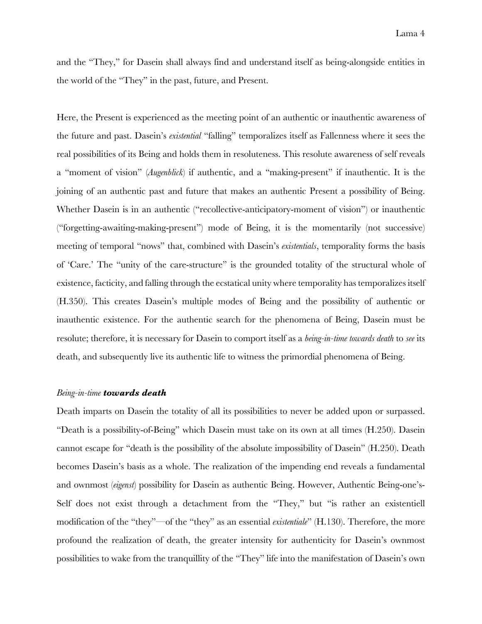and the "They," for Dasein shall always find and understand itself as being-alongside entities in the world of the "They" in the past, future, and Present.

Here, the Present is experienced as the meeting point of an authentic or inauthentic awareness of the future and past. Dasein's *existential* "falling" temporalizes itself as Fallenness where it sees the real possibilities of its Being and holds them in resoluteness. This resolute awareness of self reveals a "moment of vision" (*Augenblick*) if authentic, and a "making-present" if inauthentic. It is the joining of an authentic past and future that makes an authentic Present a possibility of Being. Whether Dasein is in an authentic ("recollective-anticipatory-moment of vision") or inauthentic ("forgetting-awaiting-making-present") mode of Being, it is the momentarily (not successive) meeting of temporal "nows" that, combined with Dasein's *existentials*, temporality forms the basis of 'Care.' The "unity of the care-structure" is the grounded totality of the structural whole of existence, facticity, and falling through the ecstatical unity where temporality has temporalizes itself (H.350). This creates Dasein's multiple modes of Being and the possibility of authentic or inauthentic existence. For the authentic search for the phenomena of Being, Dasein must be resolute; therefore, it is necessary for Dasein to comport itself as a *being-in-time towards death* to *see* its death, and subsequently live its authentic life to witness the primordial phenomena of Being.

## *Being-in-time towards death*

Death imparts on Dasein the totality of all its possibilities to never be added upon or surpassed. "Death is a possibility-of-Being" which Dasein must take on its own at all times (H.250). Dasein cannot escape for "death is the possibility of the absolute impossibility of Dasein" (H.250). Death becomes Dasein's basis as a whole. The realization of the impending end reveals a fundamental and ownmost (*eigenst*) possibility for Dasein as authentic Being. However, Authentic Being-one's-Self does not exist through a detachment from the "They," but "is rather an existentiell modification of the "they"—of the "they" as an essential *existentiale*" (H.130). Therefore, the more profound the realization of death, the greater intensity for authenticity for Dasein's ownmost possibilities to wake from the tranquillity of the "They" life into the manifestation of Dasein's own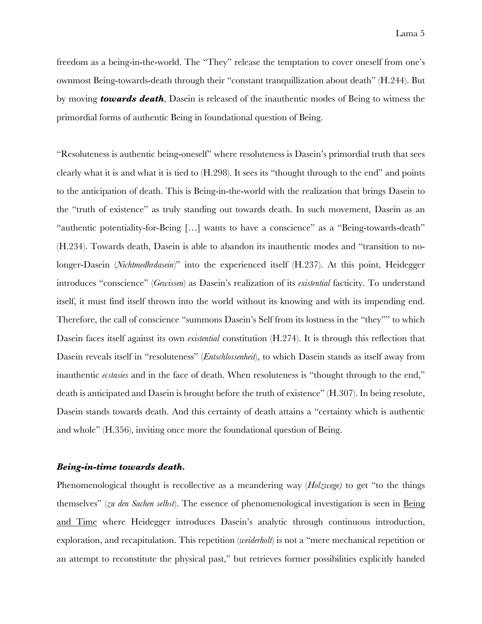freedom as a being-in-the-world. The "They" release the temptation to cover oneself from one's ownmost Being-towards-death through their "constant tranquillization about death" (H.244). But by moving *towards death*, Dasein is released of the inauthentic modes of Being to witness the primordial forms of authentic Being in foundational question of Being.

"Resoluteness is authentic being-oneself" where resoluteness is Dasein's primordial truth that sees clearly what it is and what it is tied to (H.298). It sees its "thought through to the end" and points to the anticipation of death. This is Being-in-the-world with the realization that brings Dasein to the "truth of existence" as truly standing out towards death. In such movement, Dasein as an "authentic potentiality-for-Being […] wants to have a conscience" as a "Being-towards-death" (H.234). Towards death, Dasein is able to abandon its inauthentic modes and "transition to nolonger-Dasein (*Nichtmedhrdasein*)" into the experienced itself (H.237). At this point, Heidegger introduces "conscience" (*Gewissen*) as Dasein's realization of its *existential* facticity. To understand itself, it must find itself thrown into the world without its knowing and with its impending end. Therefore, the call of conscience "summons Dasein's Self from its lostness in the "they"" to which Dasein faces itself against its own *existential* constitution (H.274). It is through this reflection that Dasein reveals itself in "resoluteness" (*Entschlossenheit*), to which Dasein stands as itself away from inauthentic *ecstasies* and in the face of death. When resoluteness is "thought through to the end," death is anticipated and Dasein is brought before the truth of existence" (H.307). In being resolute, Dasein stands towards death. And this certainty of death attains a "certainty which is authentic and whole" (H.356), inviting once more the foundational question of Being.

## *Being-in-time towards death.*

Phenomenological thought is recollective as a meandering way (*Holzwege)* to get "to the things themselves" (*zu den Sachen selbst*). The essence of phenomenological investigation is seen in Being and Time where Heidegger introduces Dasein's analytic through continuous introduction, exploration, and recapitulation. This repetition (*weiderholt*) is not a "mere mechanical repetition or an attempt to reconstitute the physical past," but retrieves former possibilities explicitly handed